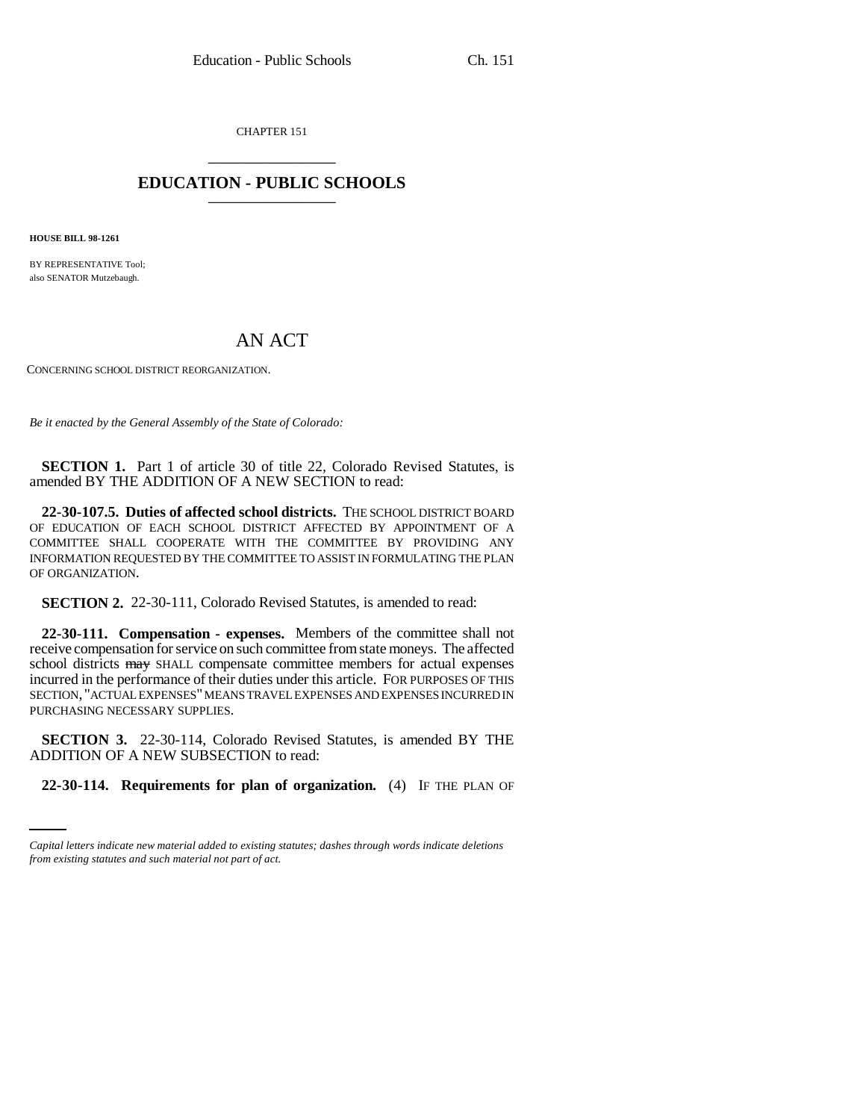CHAPTER 151 \_\_\_\_\_\_\_\_\_\_\_\_\_\_\_

## **EDUCATION - PUBLIC SCHOOLS** \_\_\_\_\_\_\_\_\_\_\_\_\_\_\_

**HOUSE BILL 98-1261**

BY REPRESENTATIVE Tool; also SENATOR Mutzebaugh.

## AN ACT

CONCERNING SCHOOL DISTRICT REORGANIZATION.

*Be it enacted by the General Assembly of the State of Colorado:*

**SECTION 1.** Part 1 of article 30 of title 22, Colorado Revised Statutes, is amended BY THE ADDITION OF A NEW SECTION to read:

**22-30-107.5. Duties of affected school districts.** THE SCHOOL DISTRICT BOARD OF EDUCATION OF EACH SCHOOL DISTRICT AFFECTED BY APPOINTMENT OF A COMMITTEE SHALL COOPERATE WITH THE COMMITTEE BY PROVIDING ANY INFORMATION REQUESTED BY THE COMMITTEE TO ASSIST IN FORMULATING THE PLAN OF ORGANIZATION.

**SECTION 2.** 22-30-111, Colorado Revised Statutes, is amended to read:

**22-30-111. Compensation - expenses.** Members of the committee shall not receive compensation for service on such committee from state moneys. The affected school districts may SHALL compensate committee members for actual expenses incurred in the performance of their duties under this article. FOR PURPOSES OF THIS SECTION, "ACTUAL EXPENSES" MEANS TRAVEL EXPENSES AND EXPENSES INCURRED IN PURCHASING NECESSARY SUPPLIES.

ADDITION OF A NEW SUBSECTION to read: **SECTION 3.** 22-30-114, Colorado Revised Statutes, is amended BY THE

**22-30-114. Requirements for plan of organization.** (4) IF THE PLAN OF

*Capital letters indicate new material added to existing statutes; dashes through words indicate deletions from existing statutes and such material not part of act.*